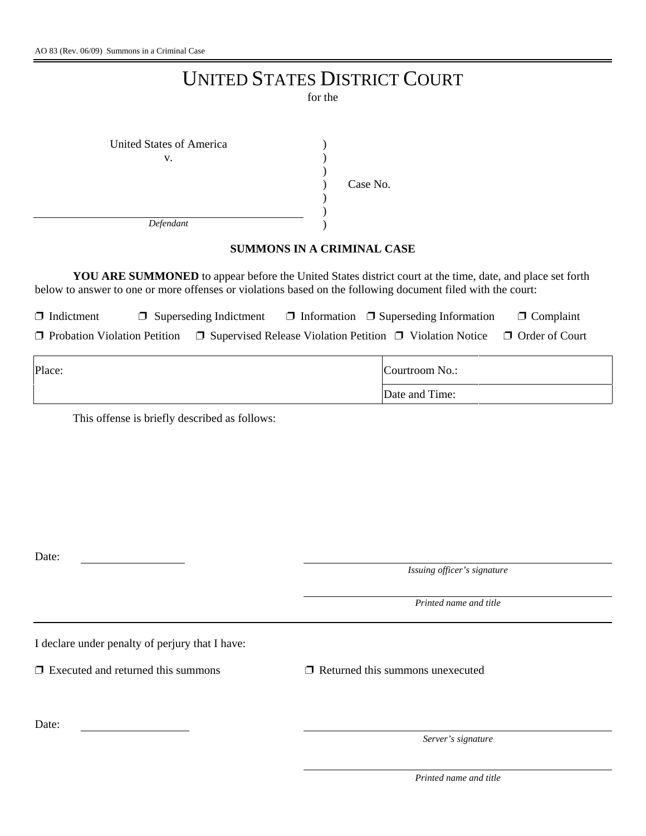## UNITED STATES DISTRICT COURT

for the

| United States of America |          |
|--------------------------|----------|
| v.                       |          |
|                          |          |
|                          | Case No. |
|                          |          |
|                          |          |
| Defendant                |          |

## **SUMMONS IN A CRIMINAL CASE**

**YOU ARE SUMMONED** to appear before the United States district court at the time, date, and place set forth below to answer to one or more offenses or violations based on the following document filed with the court:

 $\Box$  Indictment  $\Box$  Superseding Indictment  $\Box$  Information  $\Box$  Superseding Information  $\Box$  Complaint

 $\Box$  Probation Violation Petition  $\Box$  Supervised Release Violation Petition  $\Box$  Violation Notice  $\Box$  Order of Court

| Place: | Courtroom No.: |  |
|--------|----------------|--|
|        | Date and Time: |  |

This offense is briefly described as follows:

Date:

*Issuing officer's signature*

*Printed name and title*

I declare under penalty of perjury that I have:

 $\Box$  Executed and returned this summons  $\Box$  Returned this summons unexecuted

Date:

*Server's signature*